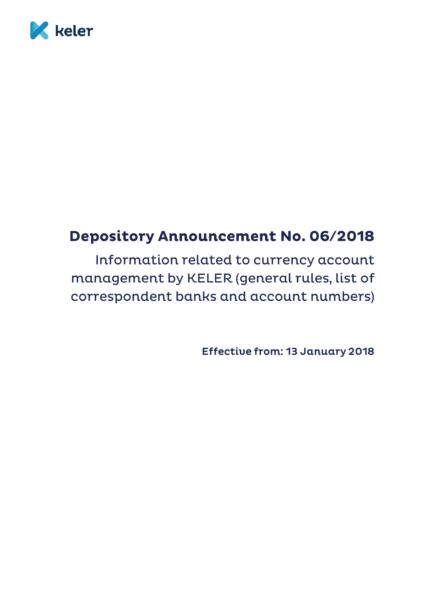

# **Depository Announcement No. 06/2018**

Information related to currency account management by KELER (general rules, list of correspondent banks and account numbers)

**Effective from: 13 January 2018**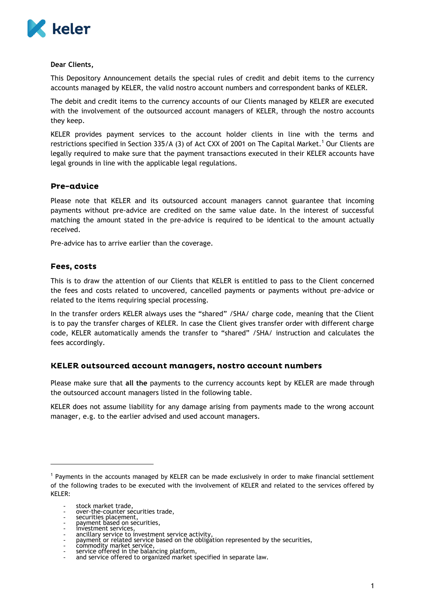

#### **Dear Clients,**

This Depository Announcement details the special rules of credit and debit items to the currency accounts managed by KELER, the valid nostro account numbers and correspondent banks of KELER.

The debit and credit items to the currency accounts of our Clients managed by KELER are executed with the involvement of the outsourced account managers of KELER, through the nostro accounts they keep.

KELER provides payment services to the account holder clients in line with the terms and restrictions specified in Section 335/A (3) of Act CXX of 2001 on The Capital Market.<sup>1</sup> Our Clients are legally required to make sure that the payment transactions executed in their KELER accounts have legal grounds in line with the applicable legal regulations.

### Pre-advice

Please note that KELER and its outsourced account managers cannot guarantee that incoming payments without pre-advice are credited on the same value date. In the interest of successful matching the amount stated in the pre-advice is required to be identical to the amount actually received.

Pre-advice has to arrive earlier than the coverage.

#### Fees, costs

This is to draw the attention of our Clients that KELER is entitled to pass to the Client concerned the fees and costs related to uncovered, cancelled payments or payments without pre-advice or related to the items requiring special processing.

In the transfer orders KELER always uses the "shared" /SHA/ charge code, meaning that the Client is to pay the transfer charges of KELER. In case the Client gives transfer order with different charge code, KELER automatically amends the transfer to "shared" /SHA/ instruction and calculates the fees accordingly.

#### KELER outsourced account managers, nostro account numbers

Please make sure that **all the** payments to the currency accounts kept by KELER are made through the outsourced account managers listed in the following table.

KELER does not assume liability for any damage arising from payments made to the wrong account manager, e.g. to the earlier advised and used account managers.

l

- commodity market service,

<sup>1</sup> Payments in the accounts managed by KELER can be made exclusively in order to make financial settlement of the following trades to be executed with the involvement of KELER and related to the services offered by KELER:

stock market trade,

over-the-counter securities trade,

<sup>-</sup> securities placement,

<sup>-</sup> payment based on securities, - investment services,

<sup>-</sup> ancillary service to investment service activity,

<sup>-</sup> payment or related service based on the obligation represented by the securities,

<sup>-</sup> service offered in the balancing platform, - and service offered to organized market specified in separate law.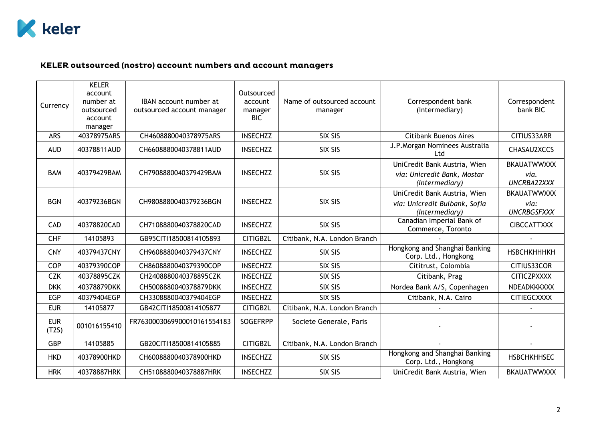

## KELER outsourced (nostro) account numbers and account managers

| Currency            | <b>KELER</b><br>account<br>number at<br>outsourced<br>account<br>manager | IBAN account number at<br>outsourced account manager | Outsourced<br>account<br>manager<br>BIC | Name of outsourced account<br>manager | Correspondent bank<br>(Intermediary)                                            | Correspondent<br>bank BIC                        |
|---------------------|--------------------------------------------------------------------------|------------------------------------------------------|-----------------------------------------|---------------------------------------|---------------------------------------------------------------------------------|--------------------------------------------------|
| <b>ARS</b>          | 40378975ARS                                                              | CH4608880040378975ARS                                | <b>INSECHZZ</b>                         | SIX SIS                               | <b>Citibank Buenos Aires</b>                                                    | CITIUS33ARR                                      |
| <b>AUD</b>          | 40378811AUD                                                              | CH6608880040378811AUD                                | <b>INSECHZZ</b>                         | SIX SIS                               | J.P.Morgan Nominees Australia<br>Ltd                                            | CHASAU2XCCS                                      |
| <b>BAM</b>          | 40379429BAM                                                              | CH7908880040379429BAM                                | <b>INSECHZZ</b>                         | SIX SIS                               | UniCredit Bank Austria, Wien<br>via: Unicredit Bank, Mostar<br>(Intermediary)   | <b>BKAUATWWXXX</b><br>via.<br><b>UNCRBA22XXX</b> |
| <b>BGN</b>          | 40379236BGN                                                              | CH9808880040379236BGN                                | <b>INSECHZZ</b>                         | SIX SIS                               | UniCredit Bank Austria, Wien<br>via: Unicredit Bulbank, Sofia<br>(Intermediary) | <b>BKAUATWWXXX</b><br>via:<br><b>UNCRBGSFXXX</b> |
| CAD                 | 40378820CAD                                                              | CH7108880040378820CAD                                | <b>INSECHZZ</b>                         | SIX SIS                               | Canadian Imperial Bank of<br>Commerce, Toronto                                  | <b>CIBCCATTXXX</b>                               |
| <b>CHF</b>          | 14105893                                                                 | GB95CITI18500814105893                               | CITIGB2L                                | Citibank, N.A. London Branch          |                                                                                 |                                                  |
| <b>CNY</b>          | 40379437CNY                                                              | CH9608880040379437CNY                                | <b>INSECHZZ</b>                         | SIX SIS                               | Hongkong and Shanghai Banking<br>Corp. Ltd., Hongkong                           | <b>НЅВСНКНННКН</b>                               |
| COP                 | 40379390COP                                                              | CH8608880040379390COP                                | <b>INSECHZZ</b>                         | SIX SIS                               | Cititrust, Colombia                                                             | CITIUS33COR                                      |
| <b>CZK</b>          | 40378895CZK                                                              | CH2408880040378895CZK                                | <b>INSECHZZ</b>                         | SIX SIS                               | Citibank, Prag                                                                  | <b>CITICZPXXXX</b>                               |
| <b>DKK</b>          | 40378879DKK                                                              | CH5008880040378879DKK                                | <b>INSECHZZ</b>                         | SIX SIS                               | Nordea Bank A/S, Copenhagen                                                     | NDEADKKKXXX                                      |
| <b>EGP</b>          | 40379404EGP                                                              | CH3308880040379404EGP                                | <b>INSECHZZ</b>                         | SIX SIS                               | Citibank, N.A. Cairo                                                            | <b>CITIEGCXXXX</b>                               |
| <b>EUR</b>          | 14105877                                                                 | GB42CITI18500814105877                               | CITIGB2L                                | Citibank, N.A. London Branch          |                                                                                 |                                                  |
| <b>EUR</b><br>(T2S) | 001016155410                                                             | FR7630003069900010161554183                          | <b>SOGEFRPP</b>                         | Societe Generale, Paris               |                                                                                 |                                                  |
| <b>GBP</b>          | 14105885                                                                 | GB20CITI18500814105885                               | CITIGB2L                                | Citibank, N.A. London Branch          |                                                                                 |                                                  |
| <b>HKD</b>          | 40378900HKD                                                              | CH6008880040378900HKD                                | <b>INSECHZZ</b>                         | SIX SIS                               | Hongkong and Shanghai Banking<br>Corp. Ltd., Hongkong                           | <b>HSBCHKHHSEC</b>                               |
| <b>HRK</b>          | 40378887HRK                                                              | CH5108880040378887HRK                                | <b>INSECHZZ</b>                         | SIX SIS                               | UniCredit Bank Austria, Wien                                                    | <b>BKAUATWWXXX</b>                               |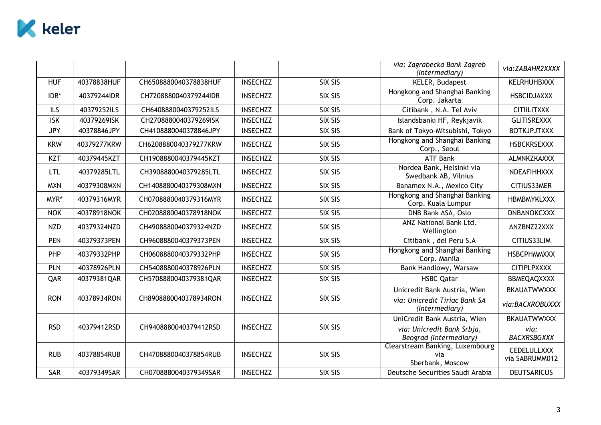

|            |             |                       |                 |         | via: Zagrabecka Bank Zagreb<br>(Intermediary)              | via:ZABAHR2XXXX                      |
|------------|-------------|-----------------------|-----------------|---------|------------------------------------------------------------|--------------------------------------|
| <b>HUF</b> | 40378838HUF | CH6508880040378838HUF | <b>INSECHZZ</b> | SIX SIS | KELER, Budapest                                            | <b>KELRHUHBXXX</b>                   |
| IDR*       | 40379244IDR | CH7208880040379244IDR | <b>INSECHZZ</b> | SIX SIS | Hongkong and Shanghai Banking<br>Corp. Jakarta             | <b>HSBCIDJAXXX</b>                   |
| <b>ILS</b> | 40379252ILS | CH6408880040379252ILS | <b>INSECHZZ</b> | SIX SIS | Citibank, N.A. Tel Aviv                                    | <b>CITIILITXXX</b>                   |
| <b>ISK</b> | 40379269ISK | CH2708880040379269ISK | <b>INSECHZZ</b> | SIX SIS | Islandsbanki HF, Reykjavik                                 | <b>GLITISREXXX</b>                   |
| <b>JPY</b> | 40378846JPY | CH4108880040378846JPY | <b>INSECHZZ</b> | SIX SIS | Bank of Tokyo-Mitsubishi, Tokyo                            | <b>BOTKJPJTXXX</b>                   |
| <b>KRW</b> | 40379277KRW | CH6208880040379277KRW | <b>INSECHZZ</b> | SIX SIS | Hongkong and Shanghai Banking<br>Corp., Seoul              | <b>HSBCKRSEXXX</b>                   |
| <b>KZT</b> | 40379445KZT | CH1908880040379445KZT | <b>INSECHZZ</b> | SIX SIS | <b>ATF Bank</b>                                            | ALMNKZKAXXX                          |
| <b>LTL</b> | 40379285LTL | CH3908880040379285LTL | <b>INSECHZZ</b> | SIX SIS | Nordea Bank, Helsinki via<br>Swedbank AB, Vilnius          | NDEAFIHHXXX                          |
| <b>MXN</b> | 40379308MXN | CH1408880040379308MXN | <b>INSECHZZ</b> | SIX SIS | Banamex N.A., Mexico City                                  | CITIUS33MER                          |
| MYR*       | 40379316MYR | CH0708880040379316MYR | <b>INSECHZZ</b> | SIX SIS | Hongkong and Shanghai Banking<br>Corp. Kuala Lumpur        | <b>HBMBMYKLXXX</b>                   |
| <b>NOK</b> | 40378918NOK | CH0208880040378918NOK | <b>INSECHZZ</b> | SIX SIS | DNB Bank ASA, Oslo                                         | <b>DNBANOKCXXX</b>                   |
| <b>NZD</b> | 40379324NZD | CH4908880040379324NZD | <b>INSECHZZ</b> | SIX SIS | <b>ANZ National Bank Ltd.</b><br>Wellington                | ANZBNZ22XXX                          |
| <b>PEN</b> | 40379373PEN | CH9608880040379373PEN | <b>INSECHZZ</b> | SIX SIS | Citibank, del Peru S.A                                     | CITIUS33LIM                          |
| PHP        | 40379332PHP | CH0608880040379332PHP | <b>INSECHZZ</b> | SIX SIS | Hongkong and Shanghai Banking<br>Corp. Manila              | <b>HSBCPHMMXXX</b>                   |
| <b>PLN</b> | 40378926PLN | CH5408880040378926PLN | <b>INSECHZZ</b> | SIX SIS | Bank Handlowy, Warsaw                                      | <b>CITIPLPXXXX</b>                   |
| QAR        | 40379381QAR | CH5708880040379381QAR | <b>INSECHZZ</b> | SIX SIS | <b>HSBC Qatar</b>                                          | BBMEQAQXXXX                          |
|            |             |                       |                 |         | Unicredit Bank Austria, Wien                               | <b>BKAUATWWXXX</b>                   |
| <b>RON</b> | 40378934RON | CH8908880040378934RON | <b>INSECHZZ</b> | SIX SIS | via: Unicredit Tiriac Bank SA<br>(Intermediary)            | via:BACXROBUXXX                      |
|            |             |                       |                 |         | UniCredit Bank Austria, Wien                               | <b>BKAUATWWXXX</b>                   |
| <b>RSD</b> | 40379412RSD | CH9408880040379412RSD | <b>INSECHZZ</b> | SIX SIS | via: Unicredit Bank Srbja,<br>Beograd (Intermediary)       | via:<br><b>BACXRSBGXXX</b>           |
| <b>RUB</b> | 40378854RUB | CH4708880040378854RUB | <b>INSECHZZ</b> | SIX SIS | Clearstream Banking, Luxembourg<br>via<br>Sberbank, Moscow | <b>CEDELULLXXX</b><br>via SABRUMM012 |
| SAR        | 40379349SAR | CH0708880040379349SAR | <b>INSECHZZ</b> | SIX SIS | Deutsche Securities Saudi Arabia                           | <b>DEUTSARICUS</b>                   |